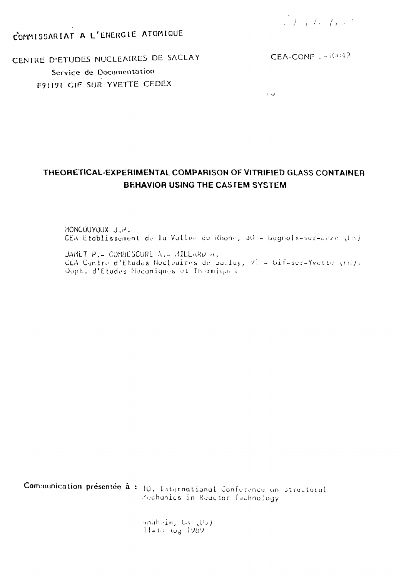J. F. L. Gel

COMMISSARIAT A L'ENERGIE ATOMIQUE

CEA-CONF  $-$ -1004?

CENTRE D'ETUDES NUCLEAIRES DE SACLAY Service de Documentation FALLAL GIF SUR YVETTE CEDEX

 $\mathbf{L}$ 

# THEORETICAL-EXPERIMENTAL COMPARISON OF VITRIFIED GLASS CONTAINER **BEHAVIOR USING THE CASTEM SYSTEM**

HONCOUYOUX J.P. CEA Etablissement de la Vullee du Rhone, 30 - bugnols-sur-Ceze (FN)

JAMET P. - COMBESCURE A. - AILLARD A. CEA Centre d'Etudes Nucleaires de Baclay, VI = Gif-sur-Yvette (FR). Dept. d'Études Mecaniques et Thermiques

Communication présentée à : 10. International Conference on atractural dechanics in Reactor Technology

> anaheim, GA (Us)  $11 - 15$   $\log 1989$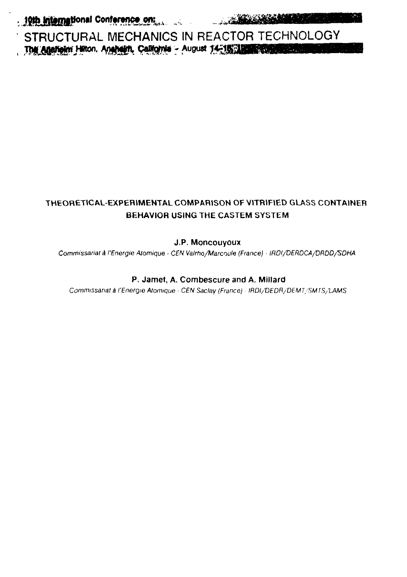التقاس

STRUCTURAL MECHANICS IN REACTOR TECHNOLOGY<br>The Anatolic Hilton, Anahami, California - August 14-15-11 (1998)

# **THEORETICAL-EXPERIMENTAL COMPARISON OF VITRIFIED GLASS CONTAINER BEHAVIOR USING THE CASTEM SYSTEM**

# J.P. Moncouyoux

Commissariat à l'Energie Atomique - CEN Valrho/Marcoule (France) - IROI/DERDCA/DRDD/SDHA

## P. Jamet, A. Combescure and A. Millard

Commissariat à l'Energie Atomique · CEN Saclay (France) · IRDI/'DEDR/'DEMT/SMTS/LAMS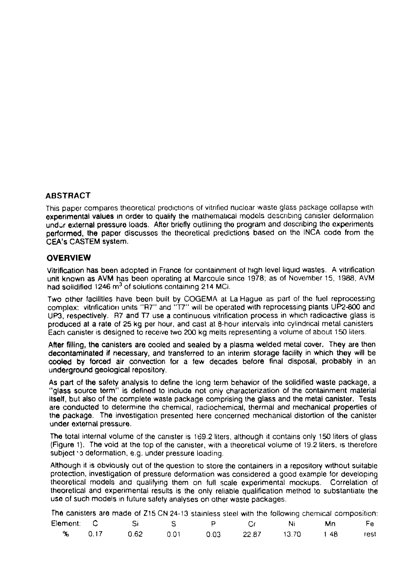## **ABSTRACT**

This paper compares theoretical prodictions of vitrified nuclear waste glass package collapse wrth experimental values in order to qualify the mathematical models describing canister déformation undur external pressure loads. After briefly outlining the program and describing the experiments performed, the paper discusses the theoretical predictions based on the INCA codo from the CEA's CASTEM system.

### **OVERVIEW**

Vitrification has been adopted in France for containment of high level liquid wastes. A vitrification unit known as AVM has been operating at Marcoule since 1978; as of November 15, 1988, AVM had solidified 1246 m<sup>3</sup> of solutions containing 214 MCi.

Two other facilities have been built by COGEMA at La Hague as part of the fuel reprocessing complex: vitrification units "R7" and "T7" will be operated with reprocessing plants UP2-800 and UP3,' respectively. R7 and T7 use a continuous vitrification process in which radioactive glass is produced at a rate of 25 kg per hour, and cast at 8-hour intervals into cylindrical metal canisters Each canister is designed to receive two 200 kg melts representing a volume of about 150 liters.

After filling, the canisters are cooled and sealed by a plasma welded metal cover. They are then decontaminated if necessary, and transferred to an interim storage facility in which they will be cooled by forced air convection for a few decades before final disposal, probably in an underground geological repository.

As part of the safety analysis to define the long term behavior of the solidified waste package, a "glass source term" is defined to include not only characterization of the containment material itself, but also of the complete waste package comprising the glass and the metal canister. Tests are conducted to determine the chemical, radiochemical, thermal and mechanical properties of the package. The investigation presented here concerned mechanical distortion of the canister under external pressure.

The total internal volume of the canister is 169.2 liters, although it contains only 150 liters of glass (Figure 1). The void at the top of the canister, with a theoretical volume of 19.2 liters, is therefore subject to deformation, e.g. under pressure loading.

Although it is obviously out of the question to store the containers in a repository without suitable protection, investigation of pressure deformation was considered a good example for developing theoretical models and qualifying them on full scale experimental mockups. Correlation of theoretical and experimental results is the only reliable qualification method to substantiate the use of such models in future safety analyses on other waste packages.

|               |         |                                                |         | The canisters are made of Z15 CN 24-13 stainless steel with the following chemical composition: |           |      |      |
|---------------|---------|------------------------------------------------|---------|-------------------------------------------------------------------------------------------------|-----------|------|------|
| Element: C    | a Silam | $\mathbf{S}$ and $\mathbf{S}$ and $\mathbf{S}$ |         | $\sim$ Cr $\sim$                                                                                | Ni i      | . Mn | Fe i |
| <b>% 0.17</b> | 0.62    | 0.01                                           | -0.03 - | 22.87                                                                                           | - 13.70 - | 148. | rest |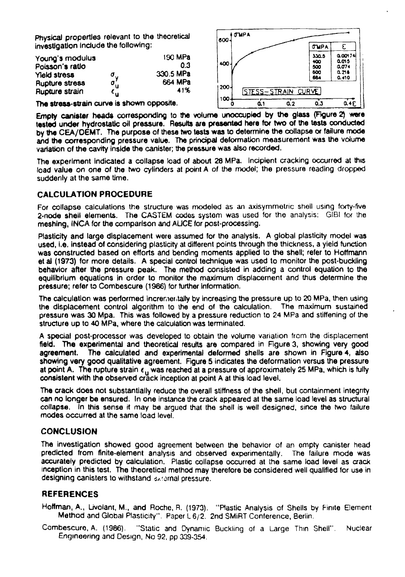Physical properties relevant to the theoretical investigation Indude the following;

| Young's modulus       | 190 MPa              |           |  |
|-----------------------|----------------------|-----------|--|
| Poisson's ratio       | 0.3                  |           |  |
| Yield stress          |                      | 330.5 MPa |  |
| <b>Rupture stress</b> | σ <sub>y</sub><br>συ | 664 MPa   |  |
| Rupture strain        | ք ս                  | 41%       |  |



The stress-strain curve is shown opposite.

Empty canister heads corresponding to the volume unoccupied by the glass (Figure 2) were tested under hydrostatic oil pressure, Results are presented here tor two of the tests conducted by the CEA/DEMT. The purpose of these two tests was to determine the collapse or failure mode and the corresponding pressure value. The principal deformation measurement was the volume variation of the cavity Inside the canister; the pressure was also recorded.

The experiment indicated a collapse load of about 28 MPa. Incipient cracking occurred at this load value on one of the two cylinders at point A of the model; the pressure reading dropped suddenly at the same time.

## **CALCULATION PROCEDURE**

For collapse calculations the structure was modeled as an axisymmetric shell using forty-frve 2-node shell elements. The CASTEM codes system was used for the analysis: GIBI for the meshing, INCA for the comparison and AUCE for post-processing.

Plasticity and large displacement were assumed for the analysis. A global plasticity model was used, I.e. instead of considering plasticity at different points through the thickness, a yield function was constructed based on efforts and bending moments applied to the shell; refer to Hoffmann et al (1973) for more details. A special control technique was used to monitor the post-buckling behavior after the pressure peak. The method consisted in adding a control equation to the equilibrium equations in order to monitor the maximum displacement and thus determine the pressure; refer to Combescure (1966) (or further information.

The calculation was performed Incrementally by increasing the pressure up to 20 MPa, then using the displacement control algorithm to the end of the calculation. The maximum sustained pressure was 30 Mpa. This was followed by a pressure reduction to 24 MPa and stiffening of the structure up to 40 MPa, where the calculation was terminated.

A special post-processor was developed to obtain the volume variation from the displacement field. The experimental and theoretical results are compared in Figure 3, showing very good agreement. The calculated and experimental deformed shells are shown in Figure 4, also showing very good qualitative agreement. Figure 5 indicates the deformation versus the pressure at point A. The rupture strain  $\epsilon_{ij}$  was reached at a pressure of approximately 25 MPa, which is fully consistent with the observed crack inception at point A at this load level.

The crack does not substantially reduce the overall stiffness of the shell, but containment integrity can no longer be ensured. In one Instance the crack appeared at the same load level as structural collapse. In this sense it may be argued that the shell is well designed, since the two failure modes occurred at the same load level.

### CONCLUSION

The Investigation showed good agreement between the behavior of an empty canister head predicted from finite-element analysis and observed experimentally. The failure mode was accurately predicted by calculation. Plastic collapse occurred at the same load level as crack inception in this test. The theoretical method may therefore be considered well qualified for use in designing canisters to withstand Bornal pressure.

### **REFERENCES**

Hoffman, A., Livolant, M., and Roche, R. (1973). "Plastic Analysis of Shells by Finite Element Method and Global Plasticity". Paper L 6/2. 2nd SMiRT Conference, Berlin.

Combescuro, A. (1986). "Static and Dynamic Buckling of a Large Thin Shell". Nuclear Engineering and Design, No 92, pp 309-354.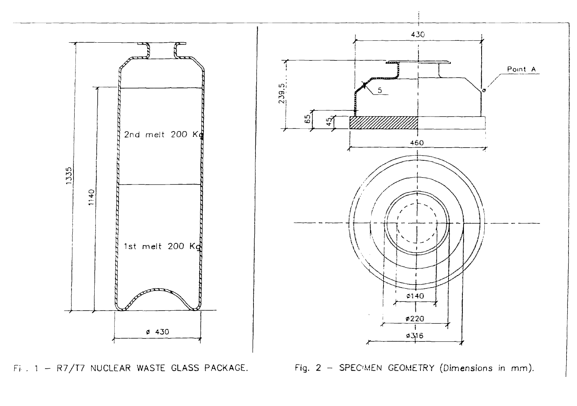

Fi. 1 - R7/T7 NUCLEAR WASTE GLASS PACKAGE. Fig. 2 - SPECIMEN GEOMETRY (Dimensions in mm).